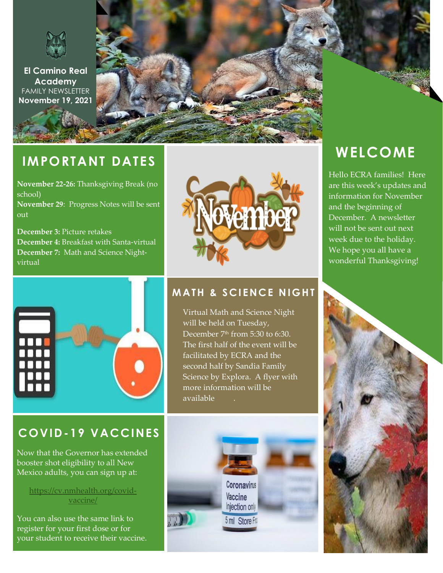

**El Camino Real Academy** FAMILY NEWSLETTER **November 19, 2021**

# **IMPORTANT DATES**

**November 22-26:** Thanksgiving Break (no school)

**November 29**: Progress Notes will be sent out

**December 3:** Picture retakes **December 4:** Breakfast with Santa-virtual **December 7:** Math and Science Nightvirtual





## **MATH & SCIENCE NIGHT**

Virtual Math and Science Night will be held on Tuesday, December 7 th from 5:30 to 6:30. The first half of the event will be facilitated by ECRA and the second half by Sandia Family Science by Explora. A flyer with more information will be available soon.

# **COVID-19 VACCINES**

Now that the Governor has extended booster shot eligibility to all New Mexico adults, you can sign up at:

#### [https://cv.nmhealth.org/covid](https://cv.nmhealth.org/covid-vaccine/)[vaccine/](https://cv.nmhealth.org/covid-vaccine/)

You can also use the same link to register for your first dose or for your student to receive their vaccine.





Hello ECRA families! Here are this week's updates and information for November and the beginning of December. A newsletter will not be sent out next week due to the holiday. We hope you all have a wonderful Thanksgiving!

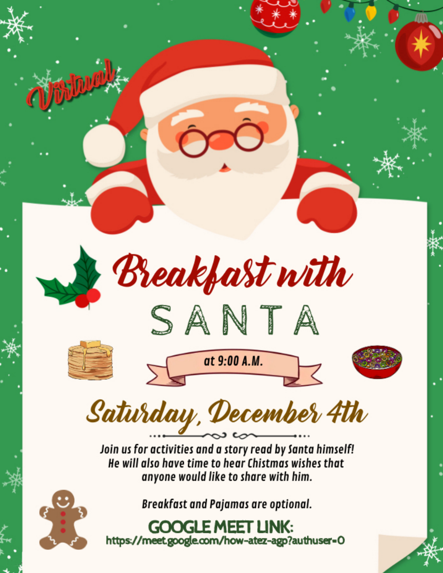

**GOOGLE MEET LINK:** https://meet.google.com/how-atez-agp?authuser=0